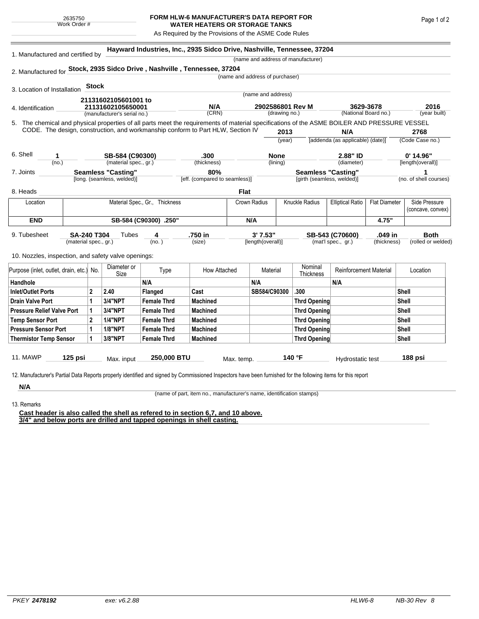## **FORM HLW-6 MANUFACTURER'S DATA REPORT FOR WATER HEATERS OR STORAGE TANKS**

As Required by the Provisions of the ASME Code Rules

| 1. Manufactured and certified by                                                                                                             |                                                         |                                  |                 |                                |                                                                                 |                   | (name and address of manufacturer)                      |                  |                        |                                   |                      |                 |                                    |  |
|----------------------------------------------------------------------------------------------------------------------------------------------|---------------------------------------------------------|----------------------------------|-----------------|--------------------------------|---------------------------------------------------------------------------------|-------------------|---------------------------------------------------------|------------------|------------------------|-----------------------------------|----------------------|-----------------|------------------------------------|--|
| 2. Manufactured for Stock, 2935 Sidco Drive, Nashville, Tennessee, 37204                                                                     |                                                         |                                  |                 |                                |                                                                                 |                   |                                                         |                  |                        |                                   |                      |                 |                                    |  |
|                                                                                                                                              |                                                         |                                  |                 |                                |                                                                                 |                   | (name and address of purchaser)                         |                  |                        |                                   |                      |                 |                                    |  |
|                                                                                                                                              |                                                         | <b>Stock</b>                     |                 |                                |                                                                                 |                   |                                                         |                  |                        |                                   |                      |                 |                                    |  |
| 3. Location of Installation                                                                                                                  |                                                         |                                  |                 |                                |                                                                                 |                   | (name and address)                                      |                  |                        |                                   |                      |                 |                                    |  |
| 21131602105601001 to                                                                                                                         |                                                         |                                  |                 | N/A                            |                                                                                 | 2902586801 Rev M  |                                                         |                  | 3629-3678              |                                   |                      | 2016            |                                    |  |
| 4. Identification                                                                                                                            | 21131602105650001<br>(manufacturer's serial no.)        |                                  |                 | (CRN)                          | (drawing no.)                                                                   |                   | (National Board no.)                                    |                  |                        | (year built)                      |                      |                 |                                    |  |
| 5. The chemical and physical properties of all parts meet the requirements of material specifications of the ASME BOILER AND PRESSURE VESSEL |                                                         |                                  |                 |                                |                                                                                 |                   |                                                         |                  |                        |                                   |                      |                 |                                    |  |
|                                                                                                                                              |                                                         |                                  |                 |                                | CODE. The design, construction, and workmanship conform to Part HLW, Section IV |                   |                                                         | 2013             |                        | N/A                               |                      | 2768            |                                    |  |
|                                                                                                                                              |                                                         |                                  |                 |                                |                                                                                 |                   | (year)                                                  |                  |                        | [addenda (as applicable) (date)]  |                      | (Code Case no.) |                                    |  |
|                                                                                                                                              |                                                         |                                  |                 |                                |                                                                                 |                   |                                                         |                  |                        |                                   |                      |                 |                                    |  |
| 6. Shell<br>1<br>(no.)                                                                                                                       |                                                         |                                  | SB-584 (C90300) |                                | .300<br>(thickness)                                                             |                   | <b>None</b><br>(lining)                                 |                  | 2.88" ID<br>(diameter) |                                   |                      |                 | $0'$ 14.96"<br>[length(overall)]   |  |
| 7. Joints                                                                                                                                    | (material spec., gr.)                                   |                                  |                 |                                | 80%                                                                             |                   |                                                         |                  |                        |                                   | 1                    |                 |                                    |  |
|                                                                                                                                              | <b>Seamless "Casting"</b><br>[long. (seamless, welded)] |                                  |                 |                                | [eff. (compared to seamless)]                                                   |                   | <b>Seamless "Casting"</b><br>[girth (seamless, welded)] |                  |                        | (no. of shell courses)            |                      |                 |                                    |  |
|                                                                                                                                              |                                                         |                                  |                 |                                |                                                                                 |                   |                                                         |                  |                        |                                   |                      |                 |                                    |  |
| 8. Heads                                                                                                                                     |                                                         |                                  |                 |                                |                                                                                 | Flat              |                                                         |                  |                        |                                   |                      |                 |                                    |  |
| Location                                                                                                                                     |                                                         |                                  |                 | Material Spec., Gr., Thickness |                                                                                 |                   | Crown Radius                                            |                  | Knuckle Radius         | <b>Elliptical Ratio</b>           | <b>Flat Diameter</b> |                 | Side Pressure<br>(concave, convex) |  |
|                                                                                                                                              |                                                         |                                  |                 | N/A                            |                                                                                 |                   |                                                         |                  |                        |                                   |                      |                 |                                    |  |
| <b>END</b>                                                                                                                                   |                                                         |                                  |                 | SB-584 (C90300) .250"          |                                                                                 |                   |                                                         |                  |                        |                                   | 4.75"                |                 |                                    |  |
| 9. Tubesheet                                                                                                                                 |                                                         | <b>SA-240 T304</b><br>Tubes<br>4 |                 |                                | .750 in                                                                         |                   | 3'7.53"                                                 |                  | SB-543 (C70600)        |                                   | .049 in              |                 | <b>Both</b>                        |  |
|                                                                                                                                              |                                                         | (material spec., gr.)            |                 | (no. )                         | (size)                                                                          | [length(overall)] |                                                         |                  |                        | (mat'l spec., gr.)<br>(thickness) |                      |                 | (rolled or welded)                 |  |
| 10. Nozzles, inspection, and safety valve openings:                                                                                          |                                                         |                                  |                 |                                |                                                                                 |                   |                                                         |                  |                        |                                   |                      |                 |                                    |  |
|                                                                                                                                              |                                                         |                                  | Diameter or     |                                |                                                                                 |                   |                                                         |                  | Nominal                |                                   |                      |                 |                                    |  |
| Purpose (inlet, outlet, drain, etc.) No.                                                                                                     |                                                         |                                  | Size            | Type                           | How Attached                                                                    | Material          |                                                         | <b>Thickness</b> |                        | <b>Reinforcement Material</b>     |                      | Location        |                                    |  |
| Handhole                                                                                                                                     |                                                         |                                  |                 | N/A                            |                                                                                 |                   | N/A                                                     |                  |                        | N/A                               |                      |                 |                                    |  |
| <b>Inlet/Outlet Ports</b>                                                                                                                    |                                                         | $\mathbf 2$                      | 2.40            | Flanged                        | Cast                                                                            |                   | SB584/C90300                                            |                  | .300                   |                                   |                      | <b>Shell</b>    |                                    |  |
| <b>Drain Valve Port</b>                                                                                                                      |                                                         | 1                                | 3/4"NPT         | <b>Female Thrd</b>             | <b>Machined</b>                                                                 |                   |                                                         |                  | <b>Thrd Opening</b>    |                                   |                      | <b>Shell</b>    |                                    |  |
| <b>Pressure Relief Valve Port</b>                                                                                                            |                                                         | 1                                | 3/4"NPT         | <b>Female Thrd</b>             | <b>Machined</b>                                                                 |                   |                                                         |                  | <b>Thrd Opening</b>    |                                   |                      | Shell           |                                    |  |
| <b>Temp Sensor Port</b>                                                                                                                      |                                                         | $\overline{2}$                   | <b>1/4"NPT</b>  | <b>Female Thrd</b>             | <b>Machined</b>                                                                 |                   |                                                         |                  | <b>Thrd Opening</b>    |                                   |                      | <b>Shell</b>    |                                    |  |
| <b>Pressure Sensor Port</b>                                                                                                                  |                                                         | 1                                | <b>1/8"NPT</b>  | <b>Female Thrd</b>             | <b>Machined</b>                                                                 |                   |                                                         |                  | <b>Thrd Opening</b>    |                                   | Shell                |                 |                                    |  |
| <b>Thermistor Temp Sensor</b>                                                                                                                |                                                         | 1                                | 3/8"NPT         | <b>Female Thrd</b>             | <b>Machined</b>                                                                 |                   |                                                         |                  | <b>Thrd Opening</b>    |                                   |                      | Shell           |                                    |  |
|                                                                                                                                              |                                                         |                                  |                 |                                |                                                                                 |                   |                                                         |                  |                        |                                   |                      |                 |                                    |  |
|                                                                                                                                              |                                                         |                                  |                 |                                |                                                                                 |                   |                                                         |                  |                        |                                   |                      |                 |                                    |  |

**N/A** 13. Remarks

(name of part, item no., manufacturer's name, identification stamps)

**Cast header is also called the shell as refered to in section 6,7, and 10 above. 3/4" and below ports are drilled and tapped openings in shell casting.**